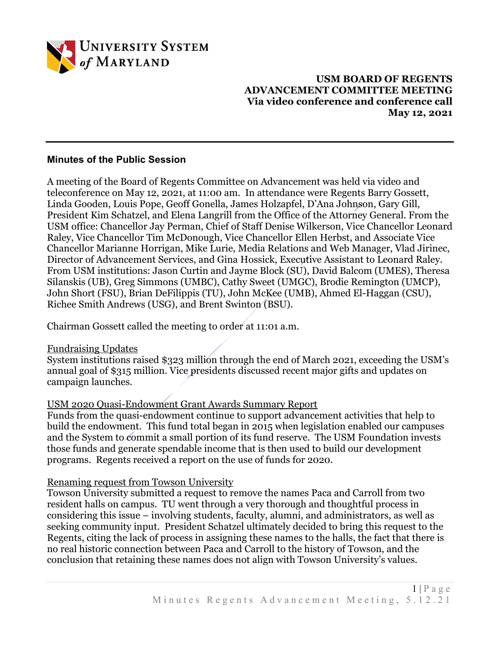

# **USM BOARD OF REGENTS ADVANCEMENT COMMITTEE MEETING Via video conference and conference call May 12, 2021**

### **Minutes of the Public Session**

A meeting of the Board of Regents Committee on Advancement was held via video and teleconference on May 12, 2021, at 11:00 am. In attendance were Regents Barry Gossett, Linda Gooden, Louis Pope, Geoff Gonella, James Holzapfel, D'Ana Johnson, Gary Gill, President Kim Schatzel, and Elena Langrill from the Office of the Attorney General. From the USM office: Chancellor Jay Perman, Chief of Staff Denise Wilkerson, Vice Chancellor Leonard Raley, Vice Chancellor Tim McDonough, Vice Chancellor Ellen Herbst, and Associate Vice Chancellor Marianne Horrigan, Mike Lurie, Media Relations and Web Manager, Vlad Jirinec, Director of Advancement Services, and Gina Hossick, Executive Assistant to Leonard Raley. From USM institutions: Jason Curtin and Jayme Block (SU), David Balcom (UMES), Theresa Silanskis (UB), Greg Simmons (UMBC), Cathy Sweet (UMGC), Brodie Remington (UMCP), John Short (FSU), Brian DeFilippis (TU), John McKee (UMB), Ahmed El-Haggan (CSU), Richee Smith Andrews (USG), and Brent Swinton (BSU).

Chairman Gossett called the meeting to order at 11:01 a.m.

### Fundraising Updates

System institutions raised \$323 million through the end of March 2021, exceeding the USM's annual goal of \$315 million. Vice presidents discussed recent major gifts and updates on campaign launches.

# USM 2020 Quasi-Endowment Grant Awards Summary Report

Funds from the quasi-endowment continue to support advancement activities that help to build the endowment. This fund total began in 2015 when legislation enabled our campuses and the System to commit a small portion of its fund reserve. The USM Foundation invests those funds and generate spendable income that is then used to build our development programs. Regents received a report on the use of funds for 2020.

### Renaming request from Towson University

Towson University submitted a request to remove the names Paca and Carroll from two resident halls on campus. TU went through a very thorough and thoughtful process in considering this issue – involving students, faculty, alumni, and administrators, as well as seeking community input. President Schatzel ultimately decided to bring this request to the Regents, citing the lack of process in assigning these names to the halls, the fact that there is no real historic connection between Paca and Carroll to the history of Towson, and the conclusion that retaining these names does not align with Towson University's values.